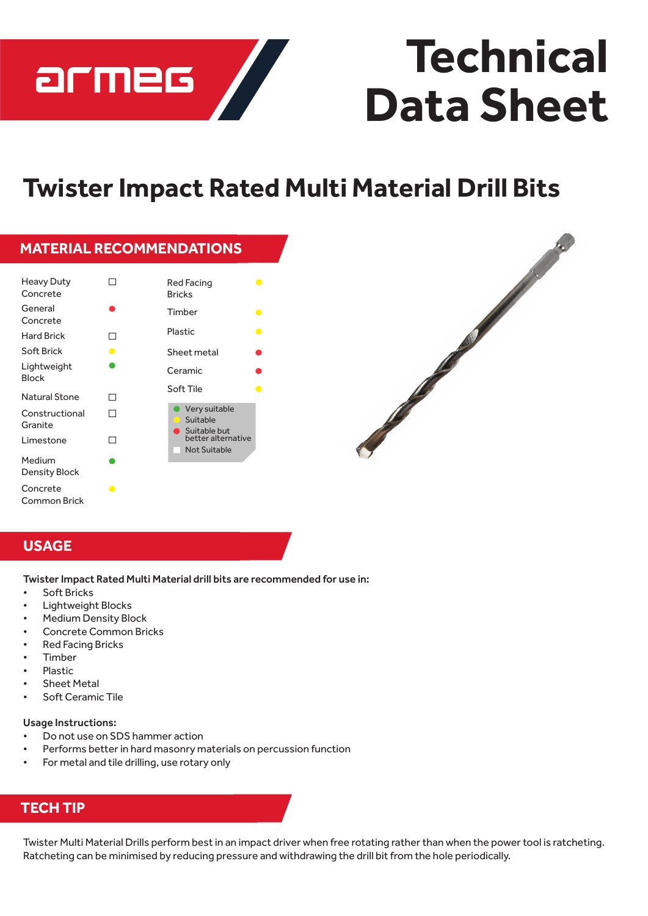

# **Technical Data Sheet**

## **Twister Impact Rated Multi Material Drill Bits**

|                                |           | <b>MATERIAL RECOMMENDATIONS</b>                                                        |
|--------------------------------|-----------|----------------------------------------------------------------------------------------|
| Heavy Duty<br>Concrete         |           | Red Facing<br>$\bullet$<br><b>Bricks</b>                                               |
| General<br>Concrete            |           | Timber<br>$\bullet$                                                                    |
| <b>Hard Brick</b>              | п         | Plastic<br>$\bullet$                                                                   |
| Soft Brick                     | $\bullet$ | Sheet metal                                                                            |
| Lightweight<br><b>Block</b>    |           | Ceramic                                                                                |
| Natural Stone                  | П         | Soft Tile<br>●                                                                         |
| Constructional<br>Granite      | П         | Very suitable<br>Suitable<br>Suitable but<br>better alternative<br><b>Not Suitable</b> |
| Limestone                      | П         |                                                                                        |
| Medium<br><b>Density Block</b> |           |                                                                                        |
| Concrete<br>Common Brick       | ●         |                                                                                        |



### **USAGE**

Twister Impact Rated Multi Material drill bits are recommended for use in:

- **Soft Bricks**
- **Lightweight Blocks**
- **Medium Density Block**
- Concrete Common Bricks
- **Red Facing Bricks**
- **Timber**
- **Plastic**
- **Sheet Metal**
- Soft Ceramic Tile

#### Usage Instructions:

- Do not use on SDS hammer action
- Performs better in hard masonry materials on percussion function
- For metal and tile drilling, use rotary only

### **TECH TIP**

Twister Multi Material Drills perform bestin an impact driver when free rotating ratherthan when the powertool is ratcheting. Ratcheting can be minimised by reducing pressure and withdrawing the drill bit from the hole periodically.